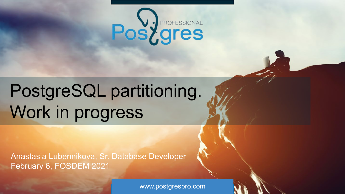

# PostgreSQL partitioning. Work in progress

Anastasia Lubennikova, Sr. Database Developer February 6, FOSDEM 2021

www.postgrespro.com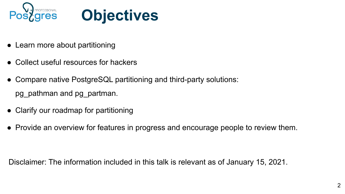



- Learn more about partitioning
- Collect useful resources for hackers
- Compare native PostgreSQL partitioning and third-party solutions: pg\_pathman and pg\_partman.
- Clarify our roadmap for partitioning
- Provide an overview for features in progress and encourage people to review them.

Disclaimer: The information included in this talk is relevant as of January 15, 2021.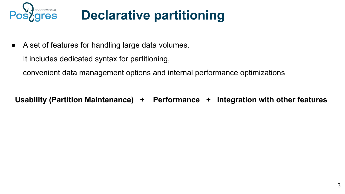

### **Declarative partitioning**

● A set of features for handling large data volumes.

It includes dedicated syntax for partitioning,

convenient data management options and internal performance optimizations

**Usability (Partition Maintenance) + Performance + Integration with other features**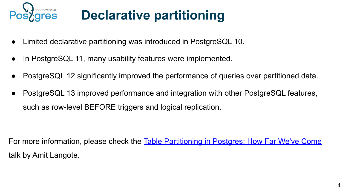

## **Declarative partitioning**

- Limited declarative partitioning was introduced in PostgreSQL 10.
- In PostgreSQL 11, many usability features were implemented.
- PostgreSQL 12 significantly improved the performance of queries over partitioned data.
- PostgreSQL 13 improved performance and integration with other PostgreSQL features, such as row-level BEFORE triggers and logical replication.

For more information, please check the [Table Partitioning in Postgres: How Far We've Come](https://www.youtube.com/watch?v=YxbNN2mxAkU) talk by Amit Langote.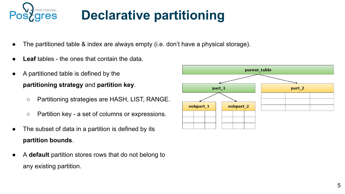

## **Declarative partitioning**

- The partitioned table & index are always empty (i.e. don't have a physical storage).
- **Leaf** tables the ones that contain the data.
- A partitioned table is defined by the **partitioning strategy** and **partition key**.
	- Partitioning strategies are HASH, LIST, RANGE.
	- Partition key a set of columns or expressions.
- The subset of data in a partition is defined by its **partition bounds**.
- A **default** partition stores rows that do not belong to any existing partition.

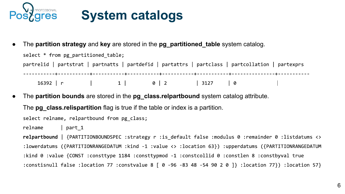

#### **System catalogs**

● The **partition strategy** and **key** are stored in the **pg\_partitioned\_table** system catalog.

```
select * from pg partitioned table;
partrelid | partstrat | partnatts | partdefid | partattrs | partclass | partcollation | partexprs
16392 | r | 1 | 0 | 2 | 3127 | 0
```
The **partition bounds** are stored in the **pg\_class.relpartbound** system catalog attribute.

The **pg** class.relispartition flag is true if the table or index is a partition.

select relname, relpartbound from pg\_class;

relname  $|$  part 1

relpartbound | {PARTITIONBOUNDSPEC :strategy r :is\_default false :modulus 0 :remainder 0 :listdatums <> :lowerdatums ({PARTITIONRANGEDATUM :kind -1 :value <> :location 63}) :upperdatums ({PARTITIONRANGEDATUM :kind 0 :value {CONST :consttype 1184 :consttypmod -1 :constcollid 0 :constlen 8 :constbyval true :constisnull false :location 77 :constvalue 8 [ 0 -96 -83 48 -54 90 2 0 ]} :location 77}) :location 57}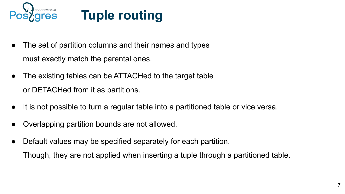

#### **Tuple routing**

- The set of partition columns and their names and types must exactly match the parental ones.
- The existing tables can be ATTACHed to the target table or DETACHed from it as partitions.
- It is not possible to turn a regular table into a partitioned table or vice versa.
- Overlapping partition bounds are not allowed.
- Default values may be specified separately for each partition. Though, they are not applied when inserting a tuple through a partitioned table.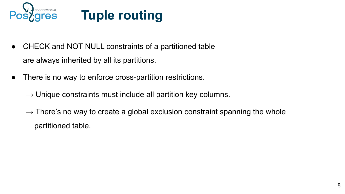

#### **Tuple routing**

- CHECK and NOT NULL constraints of a partitioned table are always inherited by all its partitions.
- There is no way to enforce cross-partition restrictions.
	- $\rightarrow$  Unique constraints must include all partition key columns.
	- $\rightarrow$  There's no way to create a global exclusion constraint spanning the whole partitioned table.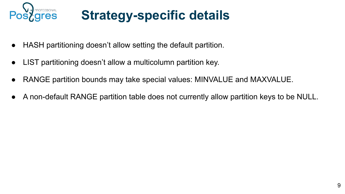

### **Strategy-specific details**

- HASH partitioning doesn't allow setting the default partition.
- LIST partitioning doesn't allow a multicolumn partition key.
- RANGE partition bounds may take special values: MINVALUE and MAXVALUE.
- A non-default RANGE partition table does not currently allow partition keys to be NULL.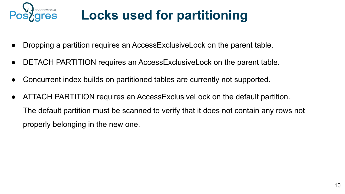

## **Locks used for partitioning**

- Dropping a partition requires an AccessExclusiveLock on the parent table.
- DETACH PARTITION requires an AccessExclusiveLock on the parent table.
- Concurrent index builds on partitioned tables are currently not supported.
- ATTACH PARTITION requires an AccessExclusiveLock on the default partition. The default partition must be scanned to verify that it does not contain any rows not properly belonging in the new one.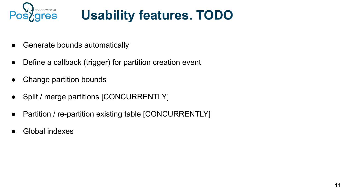

## **Usability features. TODO**

- Generate bounds automatically
- Define a callback (trigger) for partition creation event
- Change partition bounds
- Split / merge partitions [CONCURRENTLY]
- Partition / re-partition existing table [CONCURRENTLY]
- **Global indexes**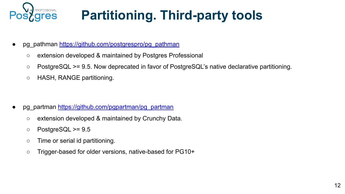

## **Partitioning. Third-party tools**

- pg\_pathman [https://github.com/postgrespro/pg\\_pathman](https://github.com/postgrespro/pg_pathman)
	- extension developed & maintained by Postgres Professional
	- PostgreSQL >= 9.5. Now deprecated in favor of PostgreSQL's native declarative partitioning.
	- HASH, RANGE partitioning.

- pg\_partman [https://github.com/pgpartman/pg\\_partman](https://github.com/pgpartman/pg_partman)
	- extension developed & maintained by Crunchy Data.
	- $\circ$  PostgreSQL >= 9.5
	- Time or serial id partitioning.
	- Trigger-based for older versions, native-based for PG10+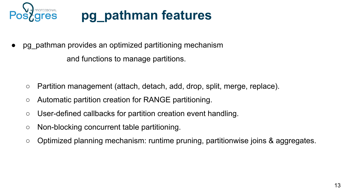

#### **pg\_pathman features**

pg pathman provides an optimized partitioning mechanism

and functions to manage partitions.

- Partition management (attach, detach, add, drop, split, merge, replace).
- Automatic partition creation for RANGE partitioning.
- User-defined callbacks for partition creation event handling.
- Non-blocking concurrent table partitioning.
- Optimized planning mechanism: runtime pruning, partitionwise joins & aggregates.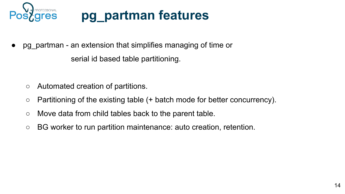

#### **pg\_partman features**

• pg\_partman - an extension that simplifies managing of time or

serial id based table partitioning.

- Automated creation of partitions.
- Partitioning of the existing table (+ batch mode for better concurrency).
- Move data from child tables back to the parent table.
- BG worker to run partition maintenance: auto creation, retention.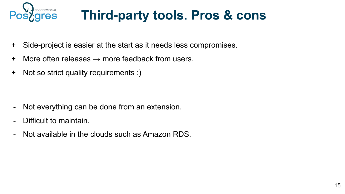

### **Third-party tools. Pros & cons**

- + Side-project is easier at the start as it needs less compromises.
- $+$  More often releases  $\rightarrow$  more feedback from users.
- + Not so strict quality requirements :)

- Not everything can be done from an extension.
- Difficult to maintain.
- Not available in the clouds such as Amazon RDS.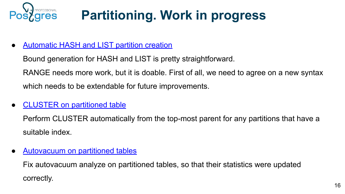

## **Partitioning. Work in progress**

● [Automatic HASH and LIST partition creation](https://commitfest.postgresql.org/31/2694/)

Bound generation for HASH and LIST is pretty straightforward.

RANGE needs more work, but it is doable. First of all, we need to agree on a new syntax which needs to be extendable for future improvements.

• [CLUSTER on partitioned table](https://commitfest.postgresql.org/31/2800/)

Perform CLUSTER automatically from the top-most parent for any partitions that have a suitable index.

[Autovacuum on partitioned tables](https://commitfest.postgresql.org/31/2492/)

Fix autovacuum analyze on partitioned tables, so that their statistics were updated correctly.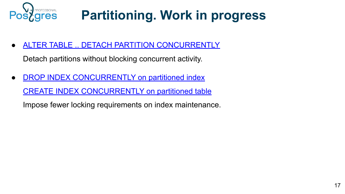

## **Partitioning. Work in progress**

[ALTER TABLE .. DETACH PARTITION CONCURRENTLY](https://commitfest.postgresql.org/31/2714/)

Detach partitions without blocking concurrent activity.

● [DROP INDEX CONCURRENTLY on partitioned index](https://commitfest.postgresql.org/31/2805/)

[CREATE INDEX CONCURRENTLY on partitioned table](https://commitfest.postgresql.org/31/2815/)

Impose fewer locking requirements on index maintenance.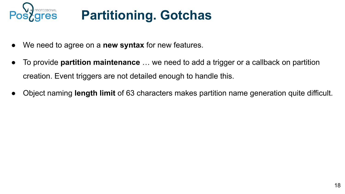

# **Partitioning. Gotchas**

- We need to agree on a **new syntax** for new features.
- To provide **partition maintenance** … we need to add a trigger or a callback on partition creation. Event triggers are not detailed enough to handle this.
- Object naming **length limit** of 63 characters makes partition name generation quite difficult.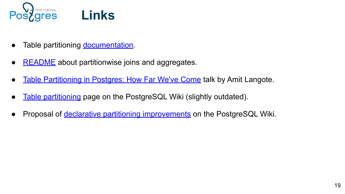

- Table partitioning [documentation](https://www.postgresql.org/docs/current/ddl-partitioning.html).
- $\bullet$  [README](https://github.com/postgres/postgres/blob/master/src/backend/optimizer/README) about partitionwise joins and aggregates.
- [Table Partitioning in Postgres: How Far We've Come](https://www.youtube.com/watch?v=YxbNN2mxAkU) talk by Amit Langote.
- [Table partitioning](https://wiki.postgresql.org/wiki/Table_partitioning) page on the PostgreSQL Wiki (slightly outdated).
- Proposal of *declarative partitioning improvements* on the PostgreSQL Wiki.